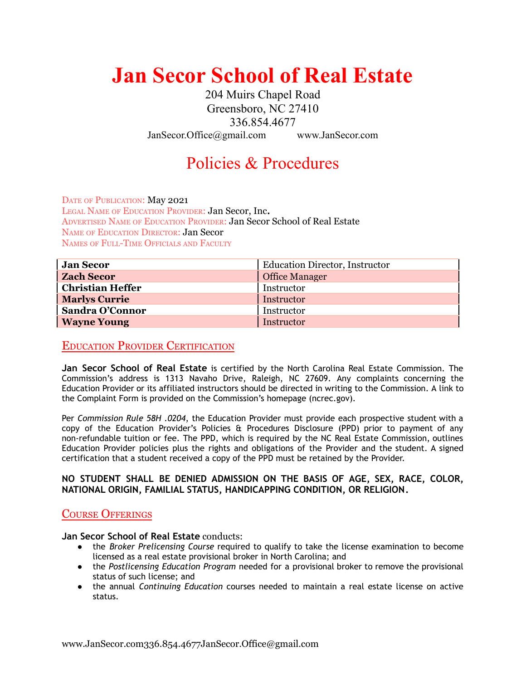# **Jan Secor School of Real Estate**

204 Muirs Chapel Road Greensboro, NC 27410 336.854.4677 JanSecor.Office@gmail.com www.JanSecor.com

## Policies & Procedures

DATE OF PUBLICATION: May 2021 LEGAL NAME OF EDUCATION PROVIDER: Jan Secor, Inc**.** ADVERTISED NAME OF EDUCATION PROVIDER: Jan Secor School of Real Estate NAME OF EDUCATION DIRECTOR: Jan Secor NAMES OF FULL-TIME OFFICIALS AND FACULTY

| <b>Jan Secor</b>        | <b>Education Director, Instructor</b> |
|-------------------------|---------------------------------------|
| <b>Zach Secor</b>       | Office Manager                        |
| <b>Christian Heffer</b> | Instructor                            |
| <b>Marlys Currie</b>    | Instructor                            |
| Sandra O'Connor         | Instructor                            |
| <b>Wayne Young</b>      | Instructor                            |

### EDUCATION PROVIDER CERTIFICATION

**Jan Secor School of Real Estate** is certified by the North Carolina Real Estate Commission. The Commission's address is 1313 Navaho Drive, Raleigh, NC 27609. Any complaints concerning the Education Provider or its affiliated instructors should be directed in writing to the Commission. A link to the Complaint Form is provided on the Commission's homepage (ncrec.gov).

Per *Commission Rule 58H .0204*, the Education Provider must provide each prospective student with a copy of the Education Provider's Policies & Procedures Disclosure (PPD) prior to payment of any non-refundable tuition or fee. The PPD, which is required by the NC Real Estate Commission, outlines Education Provider policies plus the rights and obligations of the Provider and the student. A signed certification that a student received a copy of the PPD must be retained by the Provider.

#### **NO STUDENT SHALL BE DENIED ADMISSION ON THE BASIS OF AGE, SEX, RACE, COLOR, NATIONAL ORIGIN, FAMILIAL STATUS, HANDICAPPING CONDITION, OR RELIGION.**

#### COURSE OFFERINGS

**Jan Secor School of Real Estate** conducts:

- the *Broker Prelicensing Course* required to qualify to take the license examination to become licensed as a real estate provisional broker in North Carolina; and
- the *Postlicensing Education Program* needed for a provisional broker to remove the provisional status of such license; and
- the annual *Continuing Education* courses needed to maintain a real estate license on active status.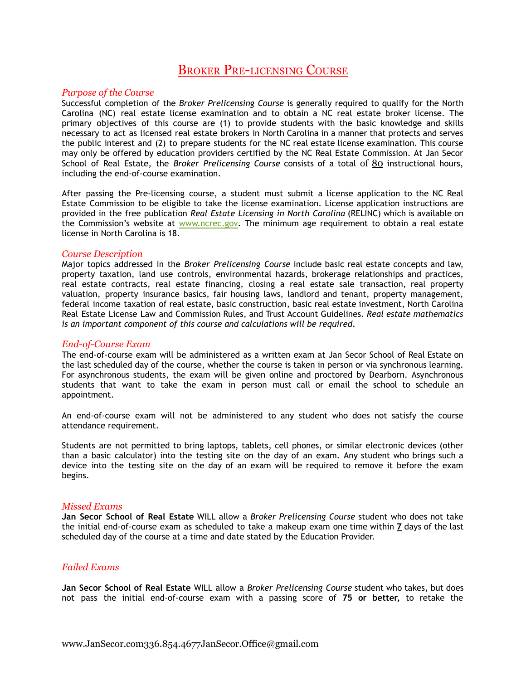## BROKER PRE-LICENSING COURSE

#### *Purpose of the Course*

Successful completion of the *Broker Prelicensing Course* is generally required to qualify for the North Carolina (NC) real estate license examination and to obtain a NC real estate broker license. The primary objectives of this course are (1) to provide students with the basic knowledge and skills necessary to act as licensed real estate brokers in North Carolina in a manner that protects and serves the public interest and (2) to prepare students for the NC real estate license examination. This course may only be offered by education providers certified by the NC Real Estate Commission. At Jan Secor School of Real Estate, the *Broker Prelicensing Course* consists of a total of 80 instructional hours, including the end-of-course examination.

After passing the Pre-licensing course, a student must submit a license application to the NC Real Estate Commission to be eligible to take the license examination. License application instructions are provided in the free publication *Real Estate Licensing in North Carolina* (RELINC) which is available on the Commission's website at [www.ncrec.gov](http://www.ncrec.gov). The minimum age requirement to obtain a real estate license in North Carolina is 18.

#### *Course Description*

Major topics addressed in the *Broker Prelicensing Course* include basic real estate concepts and law, property taxation, land use controls, environmental hazards, brokerage relationships and practices, real estate contracts, real estate financing, closing a real estate sale transaction, real property valuation, property insurance basics, fair housing laws, landlord and tenant, property management, federal income taxation of real estate, basic construction, basic real estate investment, North Carolina Real Estate License Law and Commission Rules, and Trust Account Guidelines. *Real estate mathematics is an important component of this course and calculations will be required*.

#### *End-of-Course Exam*

The end-of-course exam will be administered as a written exam at Jan Secor School of Real Estate on the last scheduled day of the course, whether the course is taken in person or via synchronous learning. For asynchronous students, the exam will be given online and proctored by Dearborn. Asynchronous students that want to take the exam in person must call or email the school to schedule an appointment.

An end-of-course exam will not be administered to any student who does not satisfy the course attendance requirement.

Students are not permitted to bring laptops, tablets, cell phones, or similar electronic devices (other than a basic calculator) into the testing site on the day of an exam. Any student who brings such a device into the testing site on the day of an exam will be required to remove it before the exam begins.

#### *Missed Exams*

**Jan Secor School of Real Estate** WILL allow a *Broker Prelicensing Course* student who does not take the initial end-of-course exam as scheduled to take a makeup exam one time within **7** days of the last scheduled day of the course at a time and date stated by the Education Provider.

#### *Failed Exams*

**Jan Secor School of Real Estate** WILL allow a *Broker Prelicensing Course* student who takes, but does not pass the initial end-of-course exam with a passing score of **75 or better,** to retake the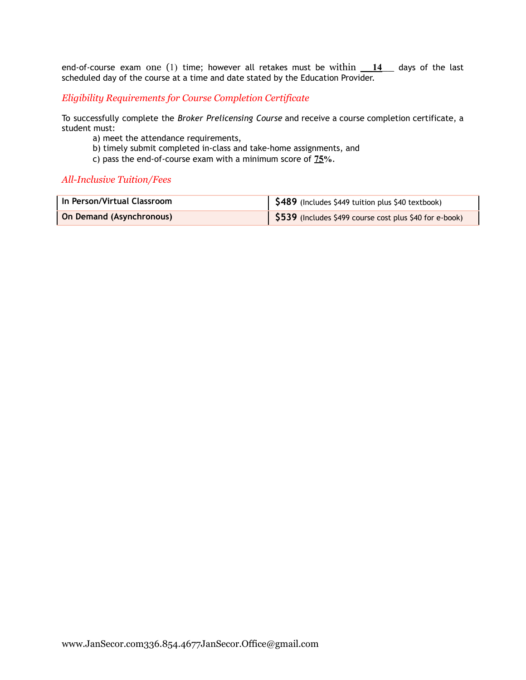end-of-course exam one (1) time; however all retakes must be within \_\_**14**\_\_ days of the last scheduled day of the course at a time and date stated by the Education Provider.

*Eligibility Requirements for Course Completion Certificate*

To successfully complete the *Broker Prelicensing Course* and receive a course completion certificate, a student must:

- a) meet the attendance requirements,
- b) timely submit completed in-class and take-home assignments, and
- c) pass the end-of-course exam with a minimum score of **75%**.

#### *All-Inclusive Tuition/Fees*

| In Person/Virtual Classroom     | S489 (Includes \$449 tuition plus \$40 textbook)        |
|---------------------------------|---------------------------------------------------------|
| <b>On Demand (Asynchronous)</b> | \$539 (Includes \$499 course cost plus \$40 for e-book) |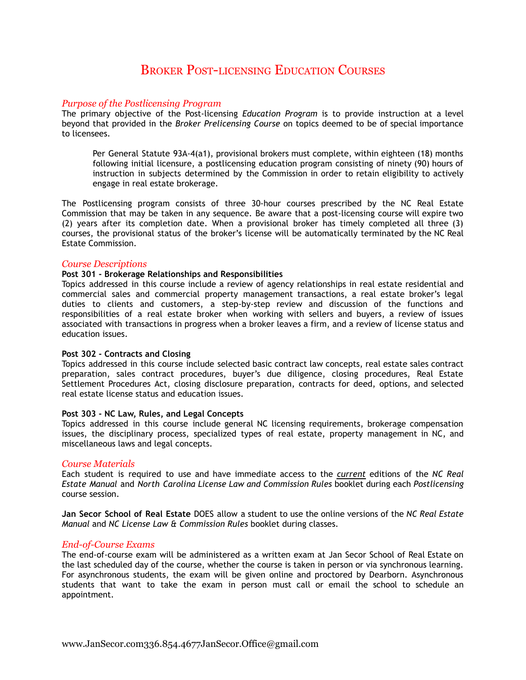## BROKER POST-LICENSING EDUCATION COURSES

#### *Purpose of the Postlicensing Program*

The primary objective of the Post-licensing *Education Program* is to provide instruction at a level beyond that provided in the *Broker Prelicensing Course* on topics deemed to be of special importance to licensees.

Per General Statute 93A-4(a1), provisional brokers must complete, within eighteen (18) months following initial licensure, a postlicensing education program consisting of ninety (90) hours of instruction in subjects determined by the Commission in order to retain eligibility to actively engage in real estate brokerage.

The Postlicensing program consists of three 30-hour courses prescribed by the NC Real Estate Commission that may be taken in any sequence. Be aware that a post-licensing course will expire two (2) years after its completion date. When a provisional broker has timely completed all three (3) courses, the provisional status of the broker's license will be automatically terminated by the NC Real Estate Commission.

#### *Course Descriptions*

#### **Post 301 - Brokerage Relationships and Responsibilities**

Topics addressed in this course include a review of agency relationships in real estate residential and commercial sales and commercial property management transactions, a real estate broker's legal duties to clients and customers, a step-by-step review and discussion of the functions and responsibilities of a real estate broker when working with sellers and buyers, a review of issues associated with transactions in progress when a broker leaves a firm, and a review of license status and education issues.

#### **Post 302 - Contracts and Closing**

Topics addressed in this course include selected basic contract law concepts, real estate sales contract preparation, sales contract procedures, buyer's due diligence, closing procedures, Real Estate Settlement Procedures Act, closing disclosure preparation, contracts for deed, options, and selected real estate license status and education issues.

#### **Post 303 - NC Law, Rules, and Legal Concepts**

Topics addressed in this course include general NC licensing requirements, brokerage compensation issues, the disciplinary process, specialized types of real estate, property management in NC, and miscellaneous laws and legal concepts.

#### *Course Materials*

Each student is required to use and have immediate access to the *current* editions of the *NC Real Estate Manual* and *North Carolina License Law and Commission Rules* booklet during each *Postlicensing* course session.

**Jan Secor School of Real Estate** DOES allow a student to use the online versions of the *NC Real Estate Manual* and *NC License Law & Commission Rules* booklet during classes.

#### *End-of-Course Exams*

The end-of-course exam will be administered as a written exam at Jan Secor School of Real Estate on the last scheduled day of the course, whether the course is taken in person or via synchronous learning. For asynchronous students, the exam will be given online and proctored by Dearborn. Asynchronous students that want to take the exam in person must call or email the school to schedule an appointment.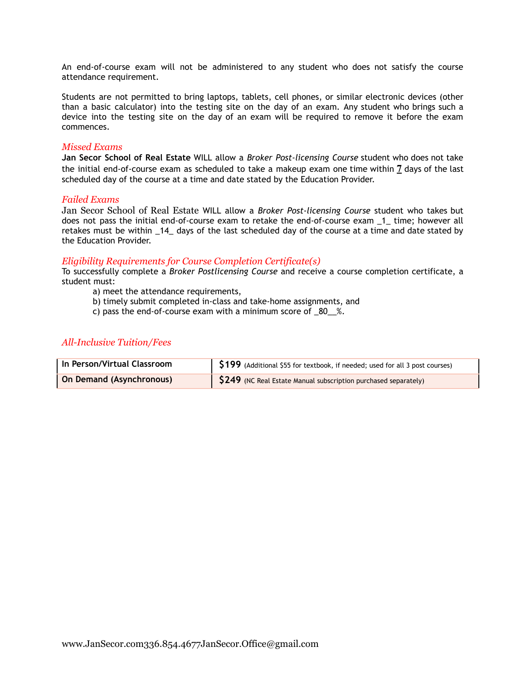An end-of-course exam will not be administered to any student who does not satisfy the course attendance requirement.

Students are not permitted to bring laptops, tablets, cell phones, or similar electronic devices (other than a basic calculator) into the testing site on the day of an exam. Any student who brings such a device into the testing site on the day of an exam will be required to remove it before the exam commences.

#### *Missed Exams*

**Jan Secor School of Real Estate** WILL allow a *Broker Post-licensing Course* student who does not take the initial end-of-course exam as scheduled to take a makeup exam one time within **7** days of the last scheduled day of the course at a time and date stated by the Education Provider.

#### *Failed Exams*

Jan Secor School of Real Estate WILL allow a *Broker Post-licensing Course* student who takes but does not pass the initial end-of-course exam to retake the end-of-course exam \_1\_ time; however all retakes must be within \_14\_ days of the last scheduled day of the course at a time and date stated by the Education Provider.

#### *Eligibility Requirements for Course Completion Certificate(s)*

To successfully complete a *Broker Postlicensing Course* and receive a course completion certificate, a student must:

- a) meet the attendance requirements,
- b) timely submit completed in-class and take-home assignments, and
- c) pass the end-of-course exam with a minimum score of \_80\_\_%.

#### *All-Inclusive Tuition/Fees*

| In Person/Virtual Classroom     | S199 (Additional \$55 for textbook, if needed; used for all 3 post courses)      |
|---------------------------------|----------------------------------------------------------------------------------|
| <b>On Demand (Asynchronous)</b> | $\left  \right $ \$249 (NC Real Estate Manual subscription purchased separately) |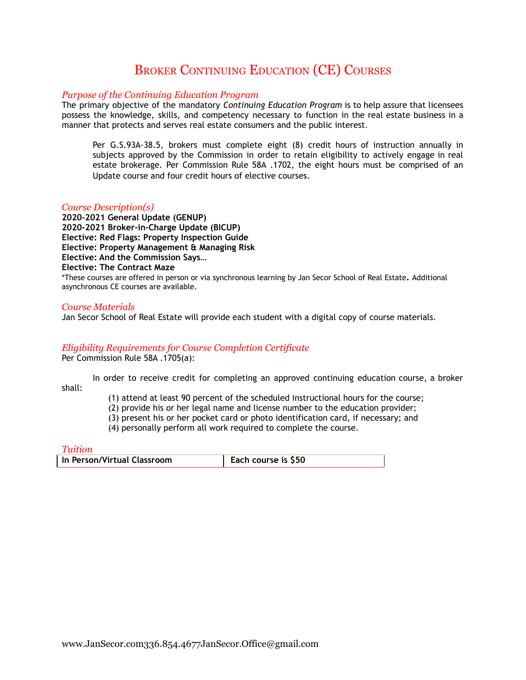## BROKER CONTINUING EDUCATION (CE) COURSES

#### *Purpose of the Continuing Education Program*

The primary objective of the mandatory *Continuing Education Program* is to help assure that licensees possess the knowledge, skills, and competency necessary to function in the real estate business in a manner that protects and serves real estate consumers and the public interest.

Per G.S.93A-38.5, brokers must complete eight (8) credit hours of instruction annually in subjects approved by the Commission in order to retain eligibility to actively engage in real estate brokerage. Per Commission Rule 58A .1702, the eight hours must be comprised of an Update course and four credit hours of elective courses.

#### *Course Description(s)*

**2020-2021 General Update (GENUP) 2020-2021 Broker-in-Charge Update (BICUP) Elective: Red Flags: Property Inspection Guide Elective: Property Management & Managing Risk Elective: And the Commission Says… Elective: The Contract Maze** \*These courses are offered in person or via synchronous learning by Jan Secor School of Real Estate**.** Additional asynchronous CE courses are available.

#### *Course Materials*

Jan Secor School of Real Estate will provide each student with a digital copy of course materials.

#### *Eligibility Requirements for Course Completion Certificate*

Per Commission Rule 58A .1705(a):

In order to receive credit for completing an approved continuing education course, a broker shall:

- (1) attend at least 90 percent of the scheduled instructional hours for the course;
- (2) provide his or her legal name and license number to the education provider;
- (3) present his or her pocket card or photo identification card, if necessary; and
- (4) personally perform all work required to complete the course.

*Tuition*

**In** Person/Virtual Classroom **Each Each** course is \$50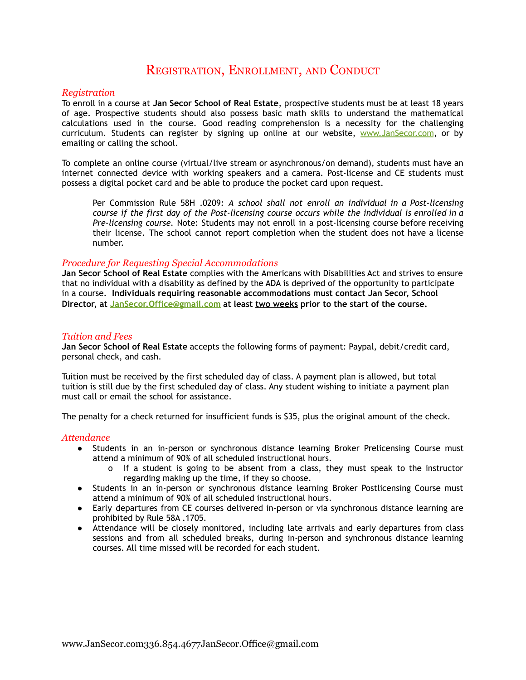## REGISTRATION, ENROLLMENT, AND CONDUCT

#### *Registration*

To enroll in a course at **Jan Secor School of Real Estate**, prospective students must be at least 18 years of age. Prospective students should also possess basic math skills to understand the mathematical calculations used in the course. Good reading comprehension is a necessity for the challenging curriculum. Students can register by signing up online at our website, [www.JanSecor.com](http://www.jansecor.com), or by emailing or calling the school.

To complete an online course (virtual/live stream or asynchronous/on demand), students must have an internet connected device with working speakers and a camera. Post-license and CE students must possess a digital pocket card and be able to produce the pocket card upon request.

Per Commission Rule 58H .0209*: A school shall not enroll an individual in a Post-licensing course if the first day of the Post-licensing course occurs while the individual is enrolled in a Pre-licensing course.* Note: Students may not enroll in a post-licensing course before receiving their license. The school cannot report completion when the student does not have a license number.

#### *Procedure for Requesting Special Accommodations*

**Jan Secor School of Real Estate** complies with the Americans with Disabilities Act and strives to ensure that no individual with a disability as defined by the ADA is deprived of the opportunity to participate in a course. **Individuals requiring reasonable accommodations must contact Jan Secor, School Director, at [JanSecor.Office@gmail.com](mailto:JanSecor.Office@gmail.com) at least two weeks prior to the start of the course.**

#### *Tuition and Fees*

**Jan Secor School of Real Estate** accepts the following forms of payment: Paypal, debit/credit card, personal check, and cash.

Tuition must be received by the first scheduled day of class. A payment plan is allowed, but total tuition is still due by the first scheduled day of class. Any student wishing to initiate a payment plan must call or email the school for assistance.

The penalty for a check returned for insufficient funds is \$35, plus the original amount of the check.

#### *Attendance*

- Students in an in-person or synchronous distance learning Broker Prelicensing Course must attend a minimum of 90% of all scheduled instructional hours.
	- o If a student is going to be absent from a class, they must speak to the instructor regarding making up the time, if they so choose.
- Students in an in-person or synchronous distance learning Broker Postlicensing Course must attend a minimum of 90% of all scheduled instructional hours.
- Early departures from CE courses delivered in-person or via synchronous distance learning are prohibited by Rule 58A .1705.
- **●** Attendance will be closely monitored, including late arrivals and early departures from class sessions and from all scheduled breaks, during in-person and synchronous distance learning courses. All time missed will be recorded for each student.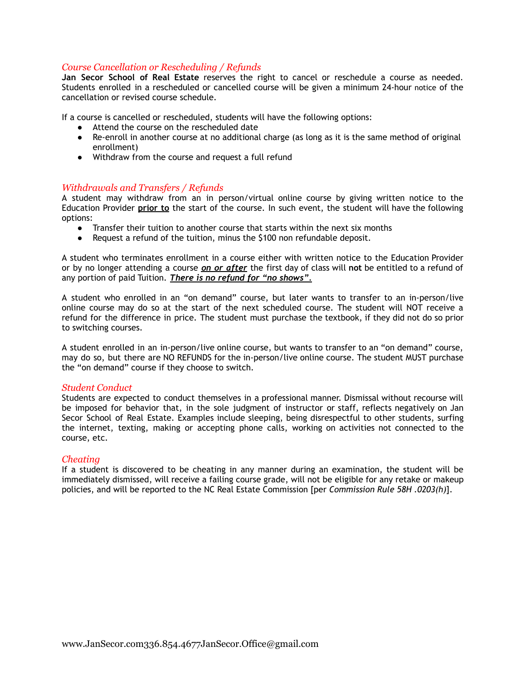#### *Course Cancellation or Rescheduling / Refunds*

**Jan Secor School of Real Estate** reserves the right to cancel or reschedule a course as needed. Students enrolled in a rescheduled or cancelled course will be given a minimum 24-hour notice of the cancellation or revised course schedule.

If a course is cancelled or rescheduled, students will have the following options:

- Attend the course on the rescheduled date
- Re-enroll in another course at no additional charge (as long as it is the same method of original enrollment)
- Withdraw from the course and request a full refund

#### *Withdrawals and Transfers / Refunds*

A student may withdraw from an in person/virtual online course by giving written notice to the Education Provider **prior to** the start of the course. In such event, the student will have the following options:

- Transfer their tuition to another course that starts within the next six months
- Request a refund of the tuition, minus the \$100 non refundable deposit.

A student who terminates enrollment in a course either with written notice to the Education Provider or by no longer attending a course *on or after* the first day of class will **not** be entitled to a refund of any portion of paid Tuition. *There is no refund for "no shows".*

A student who enrolled in an "on demand" course, but later wants to transfer to an in-person/live online course may do so at the start of the next scheduled course. The student will NOT receive a refund for the difference in price. The student must purchase the textbook, if they did not do so prior to switching courses.

A student enrolled in an in-person/live online course, but wants to transfer to an "on demand" course, may do so, but there are NO REFUNDS for the in-person/live online course. The student MUST purchase the "on demand" course if they choose to switch.

#### *Student Conduct*

Students are expected to conduct themselves in a professional manner. Dismissal without recourse will be imposed for behavior that, in the sole judgment of instructor or staff, reflects negatively on Jan Secor School of Real Estate. Examples include sleeping, being disrespectful to other students, surfing the internet, texting, making or accepting phone calls, working on activities not connected to the course, etc.

#### *Cheating*

If a student is discovered to be cheating in any manner during an examination, the student will be immediately dismissed, will receive a failing course grade, will not be eligible for any retake or makeup policies, and will be reported to the NC Real Estate Commission [per *Commission Rule 58H .0203(h)*].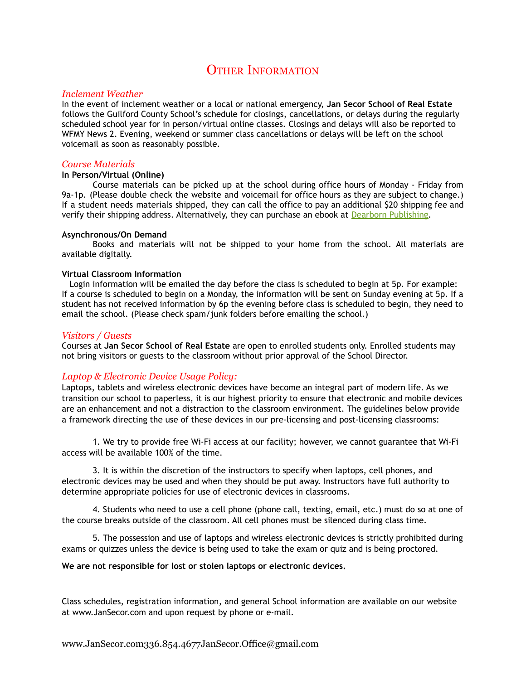## **OTHER INFORMATION**

#### *Inclement Weather*

In the event of inclement weather or a local or national emergency, **Jan Secor School of Real Estate** follows the Guilford County School's schedule for closings, cancellations, or delays during the regularly scheduled school year for in person/virtual online classes. Closings and delays will also be reported to WFMY News 2. Evening, weekend or summer class cancellations or delays will be left on the school voicemail as soon as reasonably possible.

#### *Course Materials*

#### **In Person/Virtual (Online)**

Course materials can be picked up at the school during office hours of Monday - Friday from 9a-1p. (Please double check the website and voicemail for office hours as they are subject to change.) If a student needs materials shipped, they can call the office to pay an additional \$20 shipping fee and verify their shipping address. Alternatively, they can purchase an ebook at Dearborn [Publishing.](https://portal.recampus.com/re/dearbornbookstore/store/portalcheckout/browse/RE_WHOLESALE_BKSTORE/525276?search=Modern+Real+Estate+Practice+in+North+Carolina&category=EBOOK&field=t&pagenum=0&rowCount=10)

#### **Asynchronous/On Demand**

Books and materials will not be shipped to your home from the school. All materials are available digitally.

#### **Virtual Classroom Information**

Login information will be emailed the day before the class is scheduled to begin at 5p. For example: If a course is scheduled to begin on a Monday, the information will be sent on Sunday evening at 5p. If a student has not received information by 6p the evening before class is scheduled to begin, they need to email the school. (Please check spam/junk folders before emailing the school.)

#### *Visitors / Guests*

Courses at **Jan Secor School of Real Estate** are open to enrolled students only. Enrolled students may not bring visitors or guests to the classroom without prior approval of the School Director.

#### *Laptop & Electronic Device Usage Policy:*

Laptops, tablets and wireless electronic devices have become an integral part of modern life. As we transition our school to paperless, it is our highest priority to ensure that electronic and mobile devices are an enhancement and not a distraction to the classroom environment. The guidelines below provide a framework directing the use of these devices in our pre-licensing and post-licensing classrooms:

1. We try to provide free Wi-Fi access at our facility; however, we cannot guarantee that Wi-Fi access will be available 100% of the time.

3. It is within the discretion of the instructors to specify when laptops, cell phones, and electronic devices may be used and when they should be put away. Instructors have full authority to determine appropriate policies for use of electronic devices in classrooms.

4. Students who need to use a cell phone (phone call, texting, email, etc.) must do so at one of the course breaks outside of the classroom. All cell phones must be silenced during class time.

5. The possession and use of laptops and wireless electronic devices is strictly prohibited during exams or quizzes unless the device is being used to take the exam or quiz and is being proctored.

#### **We are not responsible for lost or stolen laptops or electronic devices.**

Class schedules, registration information, and general School information are available on our website at www.JanSecor.com and upon request by phone or e-mail.